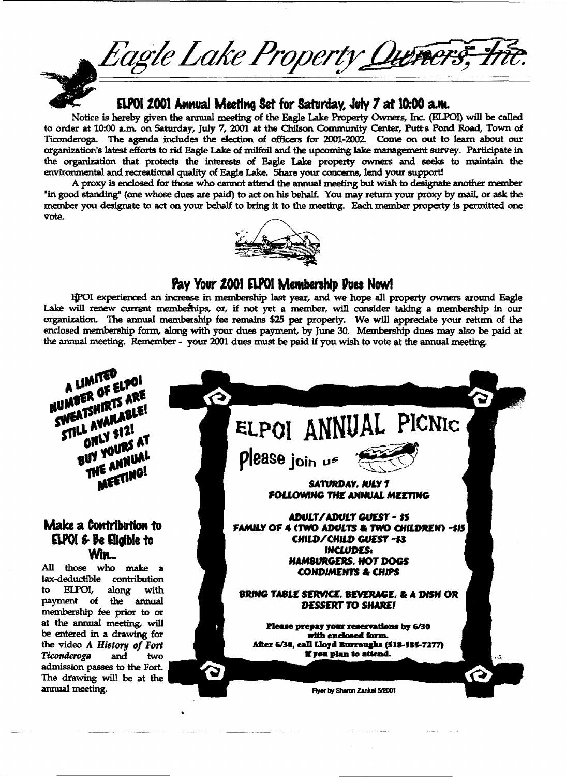Eagle Lake Property Qu<del>ners,</del>

 $ELPOI$  2001 Annual Meeting Set for Saturday, July 7 at 10:00 a.m.

Notice is hereby given the annual meeting of the Eagle Lake Property Owners, Inc. (ELPOl) will be called to order at 10:00 a.m. on Saturday, July 7, 2001 at the Chilson Community Center, Putt s Pond Road, Town of Ticonderoga. The agenda includes the election of officers for 2001-2002. Come on out to learn about our organization's latest efforts to rid Eagle Lake of milfoil and the upcoming Jalce management survey. Participate in the organization. that protects the interests of Eagle Lake property owners and seeks to maintain the environmental and recreational quality of Eagle Lake. Share your concerns, lend your supportl

A proxy is enclosed for those who cannot attend the annual meeting but wish to designate another member "in good standing" (one whose dues are paid) to act on his behalf. You may return your proxy by mail, or ask the member you designate to act on your behalf to bring it to the meeting. Each member property is permitted one vote.



## Pay Your 2001 ELPOI Membership Pues Now!

li'OI experienced an increase in membership last year, and we hope all property owners around Eagle Lake will renew currant memberhips, or, if not yet a member, will consider taking a membership in our organization. The annual membership fee remains \$25 per property. We will appreciate your return of the enclosed membership form, along with your dues payment, by June 30. Membership dues may also be paid at the annual meeting. Remember - your 2001 dues must be paid if you wish to vote at the annual meeting.

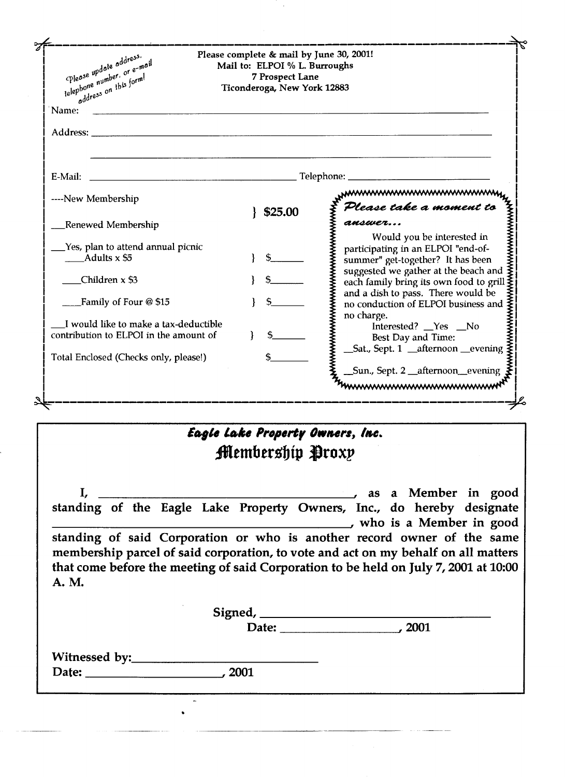| Please update address.<br>telephone number, or e-mail<br>oddress on this form!                                                   | Please complete & mail by June 30, 2001!<br>Mail to: ELPOI % L. Burroughs<br>7 Prospect Lane<br>Ticonderoga, New York 12883 |                                                                                                                                                                                                                                                                                  |
|----------------------------------------------------------------------------------------------------------------------------------|-----------------------------------------------------------------------------------------------------------------------------|----------------------------------------------------------------------------------------------------------------------------------------------------------------------------------------------------------------------------------------------------------------------------------|
| Name:                                                                                                                            |                                                                                                                             |                                                                                                                                                                                                                                                                                  |
|                                                                                                                                  |                                                                                                                             |                                                                                                                                                                                                                                                                                  |
| E-Mail:<br><u> 2000 - Jan James James James James James James James James James James James James James James James James Ja</u> |                                                                                                                             | Telephone:                                                                                                                                                                                                                                                                       |
| ----New Membership                                                                                                               |                                                                                                                             | mmmmmmmmm                                                                                                                                                                                                                                                                        |
| Renewed Membership.                                                                                                              | \$25.00                                                                                                                     | Please take a moment to<br>answer                                                                                                                                                                                                                                                |
| Yes, plan to attend annual picnic<br>Adults $x$ \$5                                                                              |                                                                                                                             | ▞▞▞▞▞▞▞▞▞▞▞▞▞▞▞▞▞▞▞▞▞▞▞▞▞▞▞▞▞▞▞▞▞▞<br>wwwwwwwww<br>Would you be interested in<br>participating in an ELPOI "end-of-<br>summer" get-together? It has been                                                                                                                         |
| Children $x$ \$3                                                                                                                 |                                                                                                                             | suggested we gather at the beach and<br>each family bring its own food to grill                                                                                                                                                                                                  |
| Family of Four @ \$15                                                                                                            |                                                                                                                             | and a dish to pass. There would be<br>no conduction of ELPOI business and                                                                                                                                                                                                        |
| I would like to make a tax-deductible<br>contribution to ELPOI in the amount of                                                  |                                                                                                                             | no charge.<br>Interested? _Yes _No<br>Best Day and Time:                                                                                                                                                                                                                         |
| Total Enclosed (Checks only, please!)                                                                                            |                                                                                                                             | _Sat., Sept. 1 _afternoon _evening                                                                                                                                                                                                                                               |
|                                                                                                                                  |                                                                                                                             | _Sun., Sept. 2 _afternoon_evening<br>mmmmmmmmmmmmm                                                                                                                                                                                                                               |
|                                                                                                                                  |                                                                                                                             |                                                                                                                                                                                                                                                                                  |
|                                                                                                                                  | Eagle Lake Property Owners, Inc.<br>Membership Proxy                                                                        |                                                                                                                                                                                                                                                                                  |
|                                                                                                                                  |                                                                                                                             |                                                                                                                                                                                                                                                                                  |
| I,                                                                                                                               |                                                                                                                             | as a Member in good<br>standing of the Eagle Lake Property Owners, Inc., do hereby designate                                                                                                                                                                                     |
| A. M.                                                                                                                            |                                                                                                                             | who is a Member in good<br>standing of said Corporation or who is another record owner of the same<br>membership parcel of said corporation, to vote and act on my behalf on all matters<br>that come before the meeting of said Corporation to be held on July 7, 2001 at 10:00 |
|                                                                                                                                  |                                                                                                                             | Signed, Date: 2001                                                                                                                                                                                                                                                               |
|                                                                                                                                  |                                                                                                                             |                                                                                                                                                                                                                                                                                  |

 $\hat{\mathcal{A}}$ 

| Witnessed by: |        |
|---------------|--------|
| Date:         | , 2001 |

**Date:** *\_\_\_\_\_\_\_\_ ---1' <sup>2001</sup>*

•

 $\overline{a}$